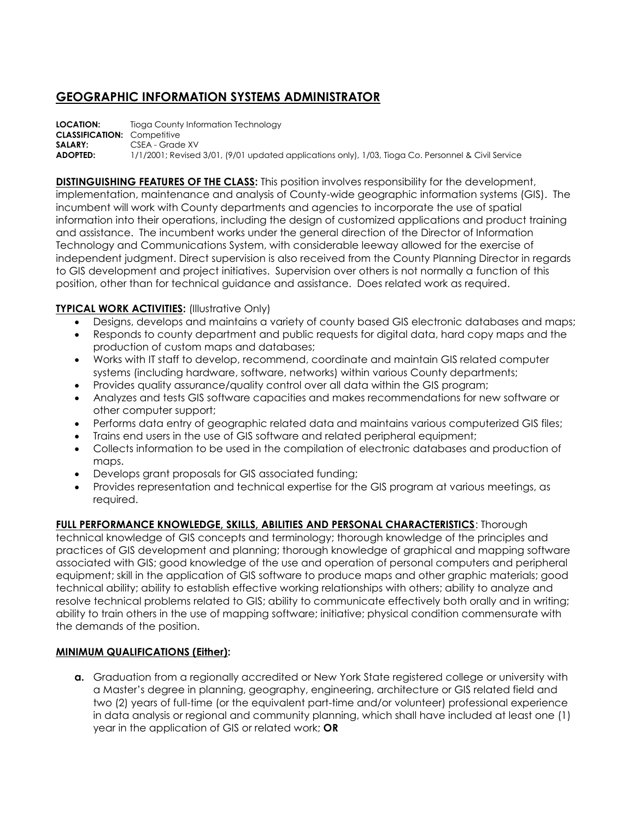## **GEOGRAPHIC INFORMATION SYSTEMS ADMINISTRATOR**

**LOCATION:** Tioga County Information Technology **CLASSIFICATION:** Competitive **SALARY:** CSEA - Grade XV **ADOPTED:** 1/1/2001; Revised 3/01, (9/01 updated applications only), 1/03, Tioga Co. Personnel & Civil Service

**DISTINGUISHING FEATURES OF THE CLASS:** This position involves responsibility for the development, implementation, maintenance and analysis of County-wide geographic information systems (GIS). The incumbent will work with County departments and agencies to incorporate the use of spatial information into their operations, including the design of customized applications and product training and assistance. The incumbent works under the general direction of the Director of Information Technology and Communications System, with considerable leeway allowed for the exercise of independent judgment. Direct supervision is also received from the County Planning Director in regards to GIS development and project initiatives. Supervision over others is not normally a function of this position, other than for technical guidance and assistance. Does related work as required.

## **TYPICAL WORK ACTIVITIES: (Illustrative Only)**

- Designs, develops and maintains a variety of county based GIS electronic databases and maps;
- Responds to county department and public requests for digital data, hard copy maps and the production of custom maps and databases;
- Works with IT staff to develop, recommend, coordinate and maintain GIS related computer systems (including hardware, software, networks) within various County departments;
- Provides quality assurance/quality control over all data within the GIS program;
- Analyzes and tests GIS software capacities and makes recommendations for new software or other computer support;
- Performs data entry of geographic related data and maintains various computerized GIS files;
- Trains end users in the use of GIS software and related peripheral equipment;
- Collects information to be used in the compilation of electronic databases and production of maps.
- Develops grant proposals for GIS associated funding;
- Provides representation and technical expertise for the GIS program at various meetings, as required.

## **FULL PERFORMANCE KNOWLEDGE, SKILLS, ABILITIES AND PERSONAL CHARACTERISTICS**: Thorough

technical knowledge of GIS concepts and terminology; thorough knowledge of the principles and practices of GIS development and planning; thorough knowledge of graphical and mapping software associated with GIS; good knowledge of the use and operation of personal computers and peripheral equipment; skill in the application of GIS software to produce maps and other graphic materials; good technical ability; ability to establish effective working relationships with others; ability to analyze and resolve technical problems related to GIS; ability to communicate effectively both orally and in writing; ability to train others in the use of mapping software; initiative; physical condition commensurate with the demands of the position.

## **MINIMUM QUALIFICATIONS (Either):**

**a.** Graduation from a regionally accredited or New York State registered college or university with a Master's degree in planning, geography, engineering, architecture or GIS related field and two (2) years of full-time (or the equivalent part-time and/or volunteer) professional experience in data analysis or regional and community planning, which shall have included at least one (1) year in the application of GIS or related work; **OR**